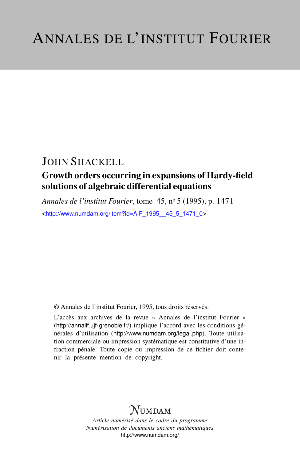## JOHN SHACKELL

## Growth orders occurring in expansions of Hardy-field solutions of algebraic differential equations

*Annales de l'institut Fourier*, tome 45, n<sup>o</sup> 5 (1995), p. 1471 <[http://www.numdam.org/item?id=AIF\\_1995\\_\\_45\\_5\\_1471\\_0](http://www.numdam.org/item?id=AIF_1995__45_5_1471_0)>

© Annales de l'institut Fourier, 1995, tous droits réservés.

L'accès aux archives de la revue « Annales de l'institut Fourier » (<http://annalif.ujf-grenoble.fr/>) implique l'accord avec les conditions générales d'utilisation (<http://www.numdam.org/legal.php>). Toute utilisation commerciale ou impression systématique est constitutive d'une infraction pénale. Toute copie ou impression de ce fichier doit contenir la présente mention de copyright.

# NUMDAM

*Article numérisé dans le cadre du programme Numérisation de documents anciens mathématiques* <http://www.numdam.org/>